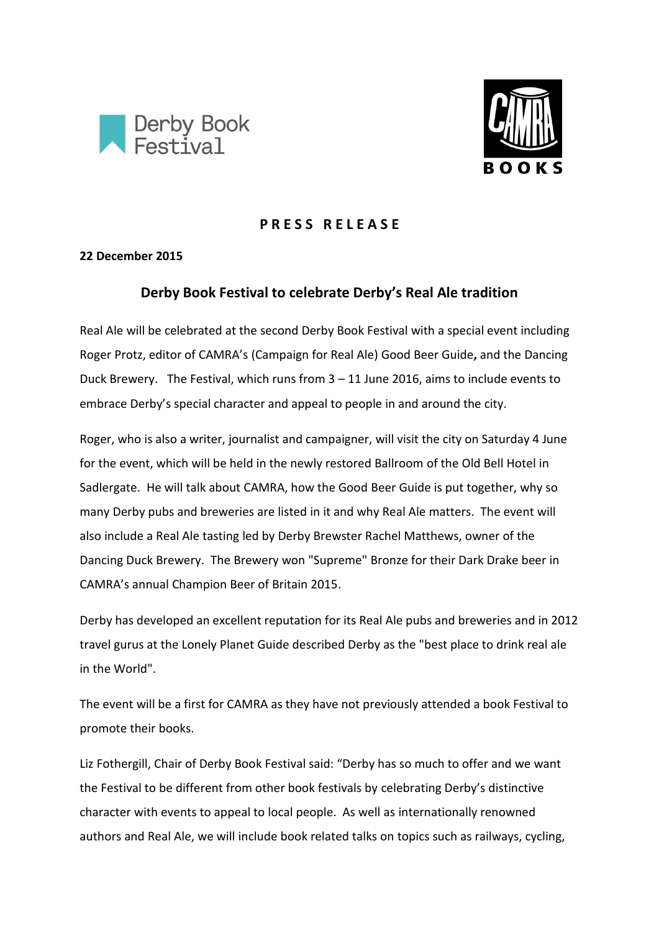



## **P R E S S R E L E A S E**

## **22 December 2015**

# **Derby Book Festival to celebrate Derby's Real Ale tradition**

Real Ale will be celebrated at the second Derby Book Festival with a special event including Roger Protz, editor of CAMRA's (Campaign for Real Ale) Good Beer Guide**,** and the Dancing Duck Brewery. The Festival, which runs from 3 – 11 June 2016, aims to include events to embrace Derby's special character and appeal to people in and around the city.

Roger, who is also a writer, journalist and campaigner, will visit the city on Saturday 4 June for the event, which will be held in the newly restored Ballroom of the Old Bell Hotel in Sadlergate. He will talk about CAMRA, how the Good Beer Guide is put together, why so many Derby pubs and breweries are listed in it and why Real Ale matters. The event will also include a Real Ale tasting led by Derby Brewster Rachel Matthews, owner of the Dancing Duck Brewery. The Brewery won "Supreme" Bronze for their Dark Drake beer in CAMRA's annual Champion Beer of Britain 2015.

Derby has developed an excellent reputation for its Real Ale pubs and breweries and in 2012 travel gurus at the Lonely Planet Guide described Derby as the "best place to drink real ale in the World".

The event will be a first for CAMRA as they have not previously attended a book Festival to promote their books.

Liz Fothergill, Chair of Derby Book Festival said: "Derby has so much to offer and we want the Festival to be different from other book festivals by celebrating Derby's distinctive character with events to appeal to local people. As well as internationally renowned authors and Real Ale, we will include book related talks on topics such as railways, cycling,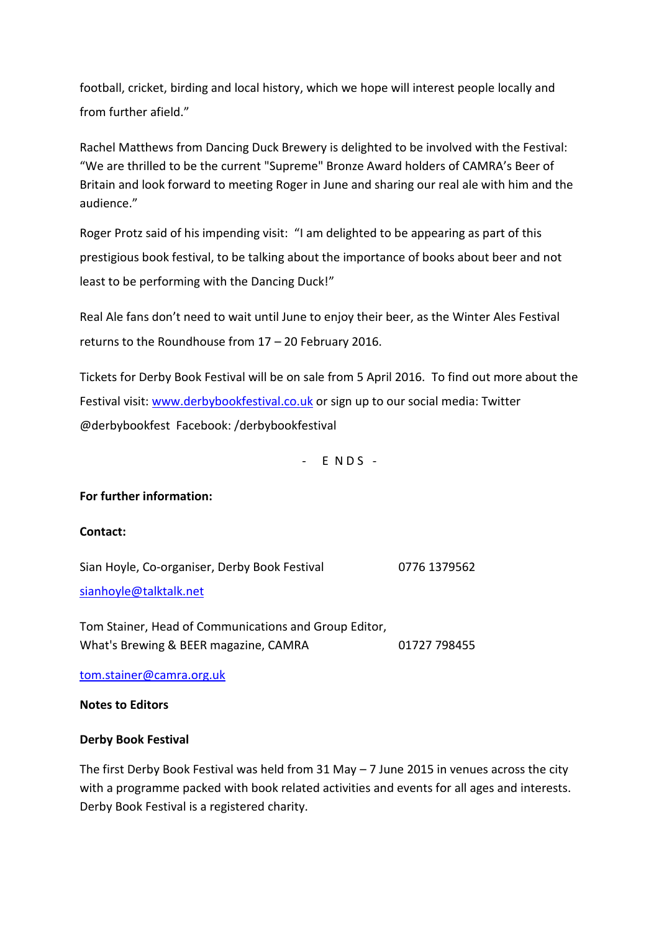football, cricket, birding and local history, which we hope will interest people locally and from further afield."

Rachel Matthews from Dancing Duck Brewery is delighted to be involved with the Festival: "We are thrilled to be the current "Supreme" Bronze Award holders of CAMRA's Beer of Britain and look forward to meeting Roger in June and sharing our real ale with him and the audience."

Roger Protz said of his impending visit: "I am delighted to be appearing as part of this prestigious book festival, to be talking about the importance of books about beer and not least to be performing with the Dancing Duck!"

Real Ale fans don't need to wait until June to enjoy their beer, as the Winter Ales Festival returns to the Roundhouse from 17 – 20 February 2016.

Tickets for Derby Book Festival will be on sale from 5 April 2016. To find out more about the Festival visit: [www.derbybookfestival.co.uk](http://www.derbybookfestival.co.uk/) or sign up to our social media: Twitter @derbybookfest Facebook: /derbybookfestival

 $-$  E N D S  $-$ 

## **For further information:**

#### **Contact:**

Sian Hoyle, Co-organiser, Derby Book Festival 0776 1379562 [sianhoyle@talktalk.net](mailto:sianhoyle@talktalk.net)

Tom Stainer, Head of Communications and Group Editor, What's Brewing & BEER magazine, CAMRA 01727 798455

[tom.stainer@camra.org.uk](mailto:tom.stainer@camra.org.uk)

#### **Notes to Editors**

#### **Derby Book Festival**

The first Derby Book Festival was held from 31 May – 7 June 2015 in venues across the city with a programme packed with book related activities and events for all ages and interests. Derby Book Festival is a registered charity.